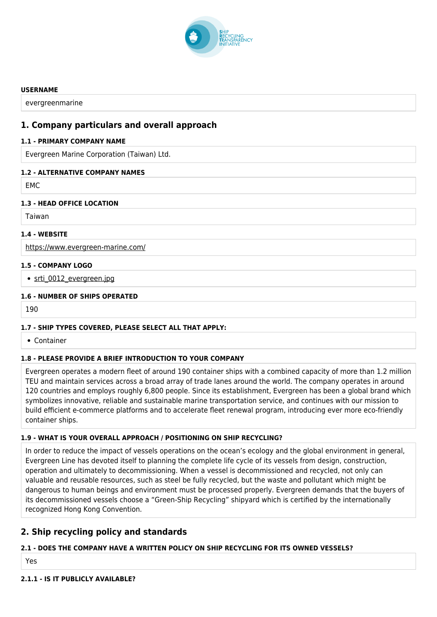

#### **USERNAME**

evergreenmarine

# **1. Company particulars and overall approach**

### **1.1 - PRIMARY COMPANY NAME**

Evergreen Marine Corporation (Taiwan) Ltd.

### **1.2 - ALTERNATIVE COMPANY NAMES**

EMC

### **1.3 - HEAD OFFICE LOCATION**

Taiwan

### **1.4 - WEBSITE**

<https://www.evergreen-marine.com/>

### **1.5 - COMPANY LOGO**

• [srti\\_0012\\_evergreen.jpg](http://www.shiprecyclingtransparency.org/wp-content/uploads/gravity_forms/1-90ab26b4ee552bd8919070d84c2cb61a/2020/10/srti_0012_evergreen.jpg)

### **1.6 - NUMBER OF SHIPS OPERATED**

190

### **1.7 - SHIP TYPES COVERED, PLEASE SELECT ALL THAT APPLY:**

Container

# **1.8 - PLEASE PROVIDE A BRIEF INTRODUCTION TO YOUR COMPANY**

Evergreen operates a modern fleet of around 190 container ships with a combined capacity of more than 1.2 million TEU and maintain services across a broad array of trade lanes around the world. The company operates in around 120 countries and employs roughly 6,800 people. Since its establishment, Evergreen has been a global brand which symbolizes innovative, reliable and sustainable marine transportation service, and continues with our mission to build efficient e-commerce platforms and to accelerate fleet renewal program, introducing ever more eco-friendly container ships.

### **1.9 - WHAT IS YOUR OVERALL APPROACH / POSITIONING ON SHIP RECYCLING?**

In order to reduce the impact of vessels operations on the ocean's ecology and the global environment in general, Evergreen Line has devoted itself to planning the complete life cycle of its vessels from design, construction, operation and ultimately to decommissioning. When a vessel is decommissioned and recycled, not only can valuable and reusable resources, such as steel be fully recycled, but the waste and pollutant which might be dangerous to human beings and environment must be processed properly. Evergreen demands that the buyers of its decommissioned vessels choose a "Green-Ship Recycling" shipyard which is certified by the internationally recognized Hong Kong Convention.

# **2. Ship recycling policy and standards**

### **2.1 - DOES THE COMPANY HAVE A WRITTEN POLICY ON SHIP RECYCLING FOR ITS OWNED VESSELS?**

Yes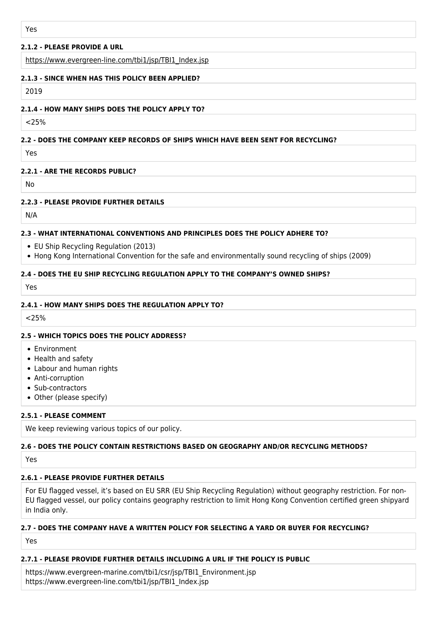### **2.1.2 - PLEASE PROVIDE A URL**

[https://www.evergreen-line.com/tbi1/jsp/TBI1\\_Index.jsp](https://www.evergreen-line.com/tbi1/jsp/TBI1_Index.jsp)

#### **2.1.3 - SINCE WHEN HAS THIS POLICY BEEN APPLIED?**

2019

#### **2.1.4 - HOW MANY SHIPS DOES THE POLICY APPLY TO?**

 $25%$ 

### **2.2 - DOES THE COMPANY KEEP RECORDS OF SHIPS WHICH HAVE BEEN SENT FOR RECYCLING?**

Yes

#### **2.2.1 - ARE THE RECORDS PUBLIC?**

No

### **2.2.3 - PLEASE PROVIDE FURTHER DETAILS**

N/A

### **2.3 - WHAT INTERNATIONAL CONVENTIONS AND PRINCIPLES DOES THE POLICY ADHERE TO?**

- EU Ship Recycling Regulation (2013)
- Hong Kong International Convention for the safe and environmentally sound recycling of ships (2009)

#### **2.4 - DOES THE EU SHIP RECYCLING REGULATION APPLY TO THE COMPANY'S OWNED SHIPS?**

Yes

#### **2.4.1 - HOW MANY SHIPS DOES THE REGULATION APPLY TO?**

 $< 25\%$ 

### **2.5 - WHICH TOPICS DOES THE POLICY ADDRESS?**

- Environment
- Health and safety
- Labour and human rights
- Anti-corruption
- Sub-contractors
- Other (please specify)

### **2.5.1 - PLEASE COMMENT**

We keep reviewing various topics of our policy.

### **2.6 - DOES THE POLICY CONTAIN RESTRICTIONS BASED ON GEOGRAPHY AND/OR RECYCLING METHODS?**

**Yes** 

### **2.6.1 - PLEASE PROVIDE FURTHER DETAILS**

For EU flagged vessel, it's based on EU SRR (EU Ship Recycling Regulation) without geography restriction. For non-EU flagged vessel, our policy contains geography restriction to limit Hong Kong Convention certified green shipyard in India only.

### **2.7 - DOES THE COMPANY HAVE A WRITTEN POLICY FOR SELECTING A YARD OR BUYER FOR RECYCLING?**

Yes

### **2.7.1 - PLEASE PROVIDE FURTHER DETAILS INCLUDING A URL IF THE POLICY IS PUBLIC**

https://www.evergreen-marine.com/tbi1/csr/jsp/TBI1\_Environment.jsp https://www.evergreen-line.com/tbi1/jsp/TBI1\_Index.jsp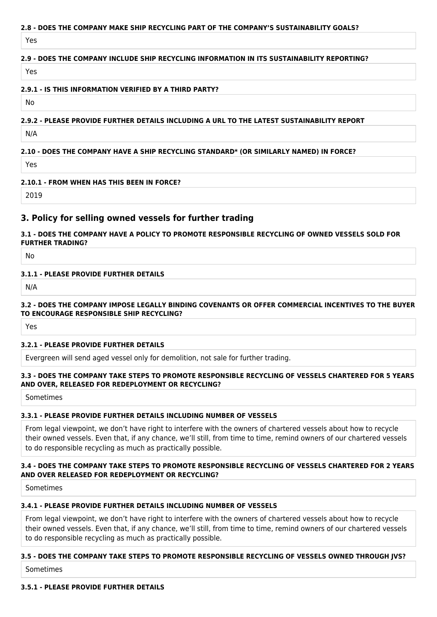### **2.8 - DOES THE COMPANY MAKE SHIP RECYCLING PART OF THE COMPANY'S SUSTAINABILITY GOALS?**

Yes

### **2.9 - DOES THE COMPANY INCLUDE SHIP RECYCLING INFORMATION IN ITS SUSTAINABILITY REPORTING?**

Yes

#### **2.9.1 - IS THIS INFORMATION VERIFIED BY A THIRD PARTY?**

No

### **2.9.2 - PLEASE PROVIDE FURTHER DETAILS INCLUDING A URL TO THE LATEST SUSTAINABILITY REPORT**

N/A

### **2.10 - DOES THE COMPANY HAVE A SHIP RECYCLING STANDARD\* (OR SIMILARLY NAMED) IN FORCE?**

Yes

### **2.10.1 - FROM WHEN HAS THIS BEEN IN FORCE?**

2019

# **3. Policy for selling owned vessels for further trading**

### **3.1 - DOES THE COMPANY HAVE A POLICY TO PROMOTE RESPONSIBLE RECYCLING OF OWNED VESSELS SOLD FOR FURTHER TRADING?**

No

#### **3.1.1 - PLEASE PROVIDE FURTHER DETAILS**

N/A

### **3.2 - DOES THE COMPANY IMPOSE LEGALLY BINDING COVENANTS OR OFFER COMMERCIAL INCENTIVES TO THE BUYER TO ENCOURAGE RESPONSIBLE SHIP RECYCLING?**

Yes

### **3.2.1 - PLEASE PROVIDE FURTHER DETAILS**

Evergreen will send aged vessel only for demolition, not sale for further trading.

#### **3.3 - DOES THE COMPANY TAKE STEPS TO PROMOTE RESPONSIBLE RECYCLING OF VESSELS CHARTERED FOR 5 YEARS AND OVER, RELEASED FOR REDEPLOYMENT OR RECYCLING?**

Sometimes

#### **3.3.1 - PLEASE PROVIDE FURTHER DETAILS INCLUDING NUMBER OF VESSELS**

From legal viewpoint, we don't have right to interfere with the owners of chartered vessels about how to recycle their owned vessels. Even that, if any chance, we'll still, from time to time, remind owners of our chartered vessels to do responsible recycling as much as practically possible.

#### **3.4 - DOES THE COMPANY TAKE STEPS TO PROMOTE RESPONSIBLE RECYCLING OF VESSELS CHARTERED FOR 2 YEARS AND OVER RELEASED FOR REDEPLOYMENT OR RECYCLING?**

Sometimes

### **3.4.1 - PLEASE PROVIDE FURTHER DETAILS INCLUDING NUMBER OF VESSELS**

From legal viewpoint, we don't have right to interfere with the owners of chartered vessels about how to recycle their owned vessels. Even that, if any chance, we'll still, from time to time, remind owners of our chartered vessels to do responsible recycling as much as practically possible.

### **3.5 - DOES THE COMPANY TAKE STEPS TO PROMOTE RESPONSIBLE RECYCLING OF VESSELS OWNED THROUGH JVS?**

Sometimes

#### **3.5.1 - PLEASE PROVIDE FURTHER DETAILS**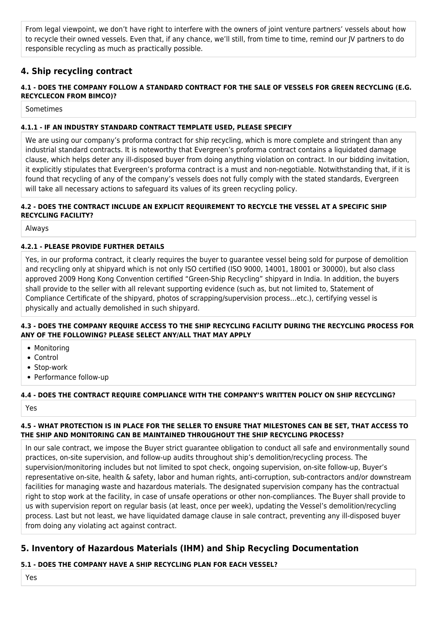From legal viewpoint, we don't have right to interfere with the owners of joint venture partners' vessels about how to recycle their owned vessels. Even that, if any chance, we'll still, from time to time, remind our JV partners to do responsible recycling as much as practically possible.

# **4. Ship recycling contract**

### **4.1 - DOES THE COMPANY FOLLOW A STANDARD CONTRACT FOR THE SALE OF VESSELS FOR GREEN RECYCLING (E.G. RECYCLECON FROM BIMCO)?**

Sometimes

### **4.1.1 - IF AN INDUSTRY STANDARD CONTRACT TEMPLATE USED, PLEASE SPECIFY**

We are using our company's proforma contract for ship recycling, which is more complete and stringent than any industrial standard contracts. It is noteworthy that Evergreen's proforma contract contains a liquidated damage clause, which helps deter any ill-disposed buyer from doing anything violation on contract. In our bidding invitation, it explicitly stipulates that Evergreen's proforma contract is a must and non-negotiable. Notwithstanding that, if it is found that recycling of any of the company's vessels does not fully comply with the stated standards, Evergreen will take all necessary actions to safeguard its values of its green recycling policy.

### **4.2 - DOES THE CONTRACT INCLUDE AN EXPLICIT REQUIREMENT TO RECYCLE THE VESSEL AT A SPECIFIC SHIP RECYCLING FACILITY?**

Always

### **4.2.1 - PLEASE PROVIDE FURTHER DETAILS**

Yes, in our proforma contract, it clearly requires the buyer to guarantee vessel being sold for purpose of demolition and recycling only at shipyard which is not only ISO certified (ISO 9000, 14001, 18001 or 30000), but also class approved 2009 Hong Kong Convention certified "Green-Ship Recycling" shipyard in India. In addition, the buyers shall provide to the seller with all relevant supporting evidence (such as, but not limited to, Statement of Compliance Certificate of the shipyard, photos of scrapping/supervision process…etc.), certifying vessel is physically and actually demolished in such shipyard.

### **4.3 - DOES THE COMPANY REQUIRE ACCESS TO THE SHIP RECYCLING FACILITY DURING THE RECYCLING PROCESS FOR ANY OF THE FOLLOWING? PLEASE SELECT ANY/ALL THAT MAY APPLY**

- Monitoring
- Control
- Stop-work
- Performance follow-up

## **4.4 - DOES THE CONTRACT REQUIRE COMPLIANCE WITH THE COMPANY'S WRITTEN POLICY ON SHIP RECYCLING?**

Yes

### **4.5 - WHAT PROTECTION IS IN PLACE FOR THE SELLER TO ENSURE THAT MILESTONES CAN BE SET, THAT ACCESS TO THE SHIP AND MONITORING CAN BE MAINTAINED THROUGHOUT THE SHIP RECYCLING PROCESS?**

In our sale contract, we impose the Buyer strict guarantee obligation to conduct all safe and environmentally sound practices, on-site supervision, and follow-up audits throughout ship's demolition/recycling process. The supervision/monitoring includes but not limited to spot check, ongoing supervision, on-site follow-up, Buyer's representative on-site, health & safety, labor and human rights, anti-corruption, sub-contractors and/or downstream facilities for managing waste and hazardous materials. The designated supervision company has the contractual right to stop work at the facility, in case of unsafe operations or other non-compliances. The Buyer shall provide to us with supervision report on regular basis (at least, once per week), updating the Vessel's demolition/recycling process. Last but not least, we have liquidated damage clause in sale contract, preventing any ill-disposed buyer from doing any violating act against contract.

# **5. Inventory of Hazardous Materials (IHM) and Ship Recycling Documentation**

## **5.1 - DOES THE COMPANY HAVE A SHIP RECYCLING PLAN FOR EACH VESSEL?**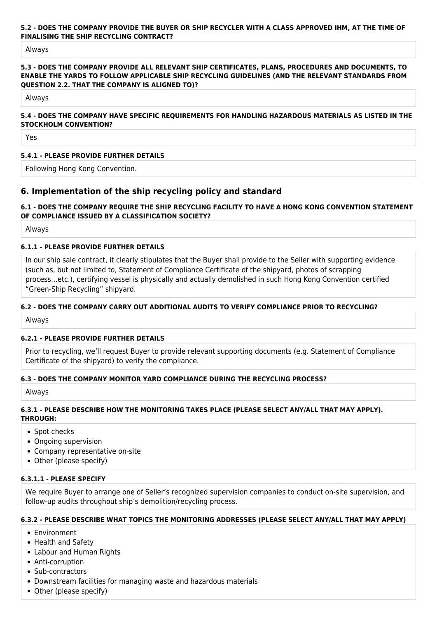### **5.2 - DOES THE COMPANY PROVIDE THE BUYER OR SHIP RECYCLER WITH A CLASS APPROVED IHM, AT THE TIME OF FINALISING THE SHIP RECYCLING CONTRACT?**

Always

#### **5.3 - DOES THE COMPANY PROVIDE ALL RELEVANT SHIP CERTIFICATES, PLANS, PROCEDURES AND DOCUMENTS, TO ENABLE THE YARDS TO FOLLOW APPLICABLE SHIP RECYCLING GUIDELINES (AND THE RELEVANT STANDARDS FROM QUESTION 2.2. THAT THE COMPANY IS ALIGNED TO)?**

Always

#### **5.4 - DOES THE COMPANY HAVE SPECIFIC REQUIREMENTS FOR HANDLING HAZARDOUS MATERIALS AS LISTED IN THE STOCKHOLM CONVENTION?**

Yes

### **5.4.1 - PLEASE PROVIDE FURTHER DETAILS**

Following Hong Kong Convention.

# **6. Implementation of the ship recycling policy and standard**

### **6.1 - DOES THE COMPANY REQUIRE THE SHIP RECYCLING FACILITY TO HAVE A HONG KONG CONVENTION STATEMENT OF COMPLIANCE ISSUED BY A CLASSIFICATION SOCIETY?**

Always

### **6.1.1 - PLEASE PROVIDE FURTHER DETAILS**

In our ship sale contract, it clearly stipulates that the Buyer shall provide to the Seller with supporting evidence (such as, but not limited to, Statement of Compliance Certificate of the shipyard, photos of scrapping process…etc.), certifying vessel is physically and actually demolished in such Hong Kong Convention certified "Green-Ship Recycling" shipyard.

#### **6.2 - DOES THE COMPANY CARRY OUT ADDITIONAL AUDITS TO VERIFY COMPLIANCE PRIOR TO RECYCLING?**

Always

#### **6.2.1 - PLEASE PROVIDE FURTHER DETAILS**

Prior to recycling, we'll request Buyer to provide relevant supporting documents (e.g. Statement of Compliance Certificate of the shipyard) to verify the compliance.

### **6.3 - DOES THE COMPANY MONITOR YARD COMPLIANCE DURING THE RECYCLING PROCESS?**

Always

### **6.3.1 - PLEASE DESCRIBE HOW THE MONITORING TAKES PLACE (PLEASE SELECT ANY/ALL THAT MAY APPLY). THROUGH:**

- Spot checks
- Ongoing supervision
- Company representative on-site
- Other (please specify)

### **6.3.1.1 - PLEASE SPECIFY**

We require Buyer to arrange one of Seller's recognized supervision companies to conduct on-site supervision, and follow-up audits throughout ship's demolition/recycling process.

#### **6.3.2 - PLEASE DESCRIBE WHAT TOPICS THE MONITORING ADDRESSES (PLEASE SELECT ANY/ALL THAT MAY APPLY)**

- Environment
- Health and Safety
- Labour and Human Rights
- Anti-corruption
- Sub-contractors
- Downstream facilities for managing waste and hazardous materials
- Other (please specify)